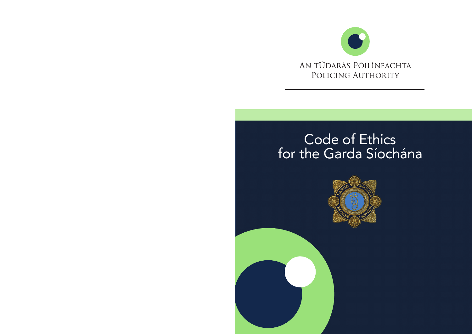

# Code of Ethics for the Garda Síochána

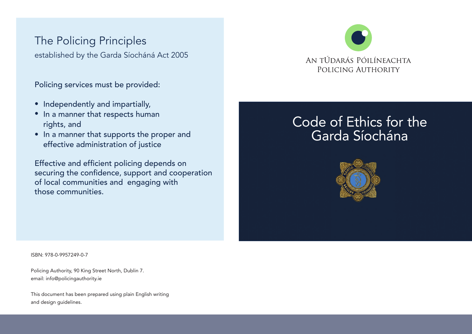# The Policing Principles

established by the Garda Síocháná Act 2005

Policing services must be provided:

- $\bullet$  Independently and impartially,
- In a manner that respects human rights, and
- $\bullet\,$  In a manner that supports the proper and effective administration of justice

Effective and efficient policing depends on securing the confidence, support and cooperation of local communities and engaging with those communities.

# AN TÚDARÁS PÓILÍNEACHTA POLICING AUTHORITY

# Code of Ethics for the Garda Síochána



ISBN: 978-0-9957249-0-7

Policing Authority, 90 King Street North, Dublin 7. email: info@policingauthority.ie

This document has been prepared using plain English writing and design guidelines.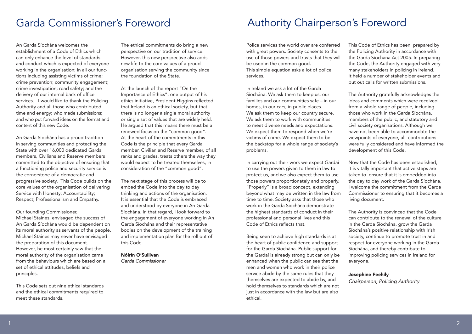### Garda Commissioner's Foreword

An Garda Síochána welcomes the establishment of a Code of Ethics which can only enhance the level of standards and conduct which is expected of everyone working in the organisation; in all our functions including assisting victims of crime; crime prevention; community engagement; crime investigation; road safety; and the delivery of our internal back of office services. I would like to thank the Policing Authority and all those who contributed time and energy; who made submissions; and who put forward ideas on the format and content of this new Code.

An Garda Síochána has a proud tradition in serving communities and protecting the State with over 16,000 dedicated Garda members, Civilians and Reserve members committed to the objective of ensuring that a functioning police and security service is the cornerstone of a democratic and progressive society. This Code builds on the core values of the organisation of delivering Service with Honesty; Accountability; Respect; Professionalism and Empathy.

Our founding Commissioner,

Michael Staines, envisaged the success of An Garda Síochána would be dependent on its moral authority as servants of the people. Michael Staines may never have envisaged the preparation of this document. However, he most certainly saw that the moral authority of the organisation came from the behaviours which are based on a set of ethical attitudes, beliefs and principles.

This Code sets out nine ethical standards and the ethical commitments required to meet these standards.

The ethical commitments do bring a new perspective on our tradition of service. However, this new perspective also adds new life to the core values of a proud organisation serving the community since the foundation of the State.

At the launch of the report "On the Importance of Ethics", one output of his ethics initiative, President Higgins reflected that Ireland is an ethical society, but that there is no longer a single moral authority or single set of values that are widely held. He arqued that this means there must be a renewed focus on the "common good". At the heart of the commitments in this Code is the principle that every Garda member, Civilian and Reserve member, of all ranks and grades, treats others the way they would expect to be treated themselves, in consideration of the "common good".

The next stage of this process will be to embed the Code into the day to day thinking and actions of the organisation. It is essential that the Code is embraced and understood by everyone in An Garda Síochána. In that regard, I look forward to the engagement of everyone working in An Garda Síochána and their representative bodies on the development of the training and implementation plan for the roll out of this Code.

#### Nóirín O'Sullivan

*Garda Commissioner*

## Authority Chairperson's Foreword

Police services the world over are conferred with great powers. Society consents to the use of those powers and trusts that they will be used in the common good. This simple equation asks a lot of police services.

In Ireland we ask a lot of the Garda Síochána. We ask them to keep us, our families and our communities safe – in our homes, in our cars, in public places. We ask them to keep our country secure. We ask them to work with communities to meet diverse needs and expectations. We expect them to respond when we're victims of crime. We expect them to be the backstop for a whole range of society's problems.

In carrying out their work we expect Gardaí to use the powers given to them in law to protect us, and we also expect them to use those powers proportionately and properly. "Properly" is a broad concept, extending beyond what may be written in the law from time to time. Society asks that those who work in the Garda Síochána demonstrate the highest standards of conduct in their professional and personal lives and this Code of Ethics reflects that.

Being seen to achieve high standards is at the heart of public confidence and support for the Garda Síochána. Public support for the Gardaí is already strong but can only be enhanced when the public can see that the men and women who work in their police service abide by the same rules that they themselves are expected to abide by, and hold themselves to standards which are not just in accordance with the law but are also ethical.

This Code of Ethics has been prepared by the Policing Authority in accordance with the Garda Síochána Act 2005. In preparing the Code, the Authority engaged with very many stakeholders in policing in Ireland. It held a number of stakeholder events and put out calls for written submissions.

The Authority gratefully acknowledges the ideas and comments which were received from a whole range of people, including those who work in the Garda Síochána, members of the public, and statutory and civil society organisations. Although we have not been able to accommodate the viewpoints of everyone, all contributions were fully considered and have informed the development of this Code.

Now that the Code has been established, it is vitally important that active steps are taken to ensure that it is embedded into the day to day work of the Garda Síochána. I welcome the commitment from the Garda Commissioner to ensuring that it becomes a living document.

The Authority is convinced that the Code can contribute to the renewal of the culture in the Garda Síochána, grow the Garda Síochána's positive relationship with Irish society, continue to promote trust in and respect for everyone working in the Garda Síochána, and thereby contribute to improving policing services in Ireland for everyone.

Josephine Feehily *Chairperson, Policing Authority*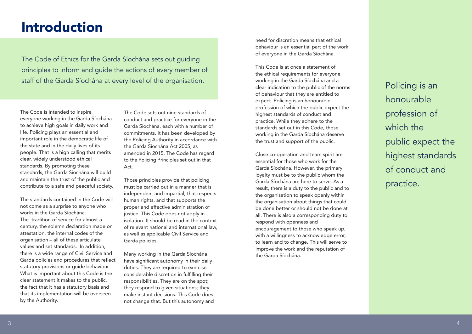# Introduction

The Code of Ethics for the Garda Síochána sets out guiding principles to inform and guide the actions of every member of staff of the Garda Síochána at every level of the organisation.

The Code is intended to inspire everyone working in the Garda Síochána to achieve high goals in daily work and life. Policing plays an essential and important role in the democratic life of the state and in the daily lives of its people. That is a high calling that merits clear, widely understood ethical standards. By promoting these standards, the Garda Síochána will build and maintain the trust of the public and contribute to a safe and peaceful society.

The standards contained in the Code will not come as a surprise to anyone who works in the Garda Síochána. The tradition of service for almost a century, the solemn declaration made on attestation, the internal codes of the organisation – all of these articulate values and set standards. In addition, there is a wide range of Civil Service and Garda policies and procedures that reflect statutory provisions or guide behaviour. What is important about this Code is the clear statement it makes to the public, the fact that it has a statutory basis and that its implementation will be overseen by the Authority.

The Code sets out nine standards of conduct and practice for everyone in the Garda Síochána, each with a number of commitments. It has been developed by the Policing Authority in accordance with the Garda Síochána Act 2005, as amended in 2015. The Code has regard to the Policing Principles set out in that Act.

Those principles provide that policing must be carried out in a manner that is independent and impartial, that respects human rights, and that supports the proper and effective administration of justice. This Code does not apply in isolation. It should be read in the context of relevant national and international law, as well as applicable Civil Service and Garda policies.

Many working in the Garda Síochána have significant autonomy in their daily duties. They are required to exercise considerable discretion in fulfilling their responsibilities. They are on the spot; they respond to given situations; they make instant decisions. This Code does not change that. But this autonomy and need for discretion means that ethical behaviour is an essential part of the work of everyone in the Garda Síochána.

This Code is at once a statement of the ethical requirements for everyone working in the Garda Síochána and a clear indication to the public of the norms of behaviour that they are entitled to expect. Policing is an honourable profession of which the public expect the highest standards of conduct and practice. While they adhere to the standards set out in this Code, those working in the Garda Síochána deserve the trust and support of the public.

Close co-operation and team spirit are essential for those who work for the Garda Síochána. However, the primary loyalty must be to the public whom the Garda Síochána are here to serve. As a result, there is a duty to the public and to the organisation to speak openly within the organisation about things that could be done better or should not be done at all. There is also a corresponding duty to respond with openness and encouragement to those who speak up, with a willingness to acknowledge error, to learn and to change. This will serve to improve the work and the reputation of the Garda Síochána.

Policing is an honourable profession of which the public expect the highest standards of conduct and practice.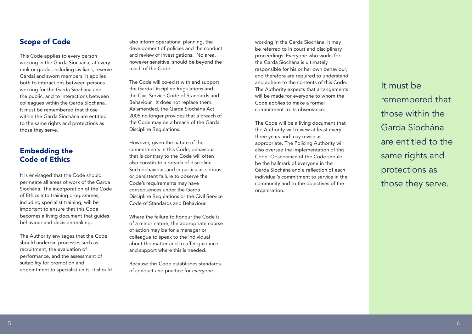Scope of Code

This Code applies to every person working in the Garda Síochána, at every rank or grade, including civilians, reserve Gardaí and sworn members. It applies both to interactions between persons working for the Garda Síochána and the public, and to interactions between colleagues within the Garda Síochána. It must be remembered that those within the Garda Síochána are entitled to the same rights and protections as those they serve.

#### Embedding the Code of Ethics

It is envisaged that the Code should permeate all areas of work of the Garda Síochána. The incorporation of the Code of Ethics into training programmes, including specialist training, will be important to ensure that this Code becomes a living document that guides behaviour and decision-making.

The Authority envisages that the Code should underpin processes such as recruitment, the evaluation of performance, and the assessment of suitability for promotion and appointment to specialist units. It should also inform operational planning, the development of policies and the conduct and review of investigations. No area, however sensitive, should be beyond the reach of the Code.

The Code will co-exist with and support the Garda Discipline Regulations and the Civil Service Code of Standards and Behaviour. It does not replace them. As amended, the Garda Síochána Act 2005 no longer provides that a breach of the Code may be a breach of the Garda Discipline Regulations.

However, given the nature of the commitments in this Code, behaviour that is contrary to the Code will often also constitute a breach of discipline. Such behaviour, and in particular, serious or persistent failure to observe the Code's requirements may have consequences under the Garda Discipline Regulations or the Civil Service Code of Standards and Behaviour.

Where the failure to honour the Code is of a minor nature, the appropriate course of action may be for a manager or colleague to speak to the individual about the matter and to offer guidance and support where this is needed.

Because this Code establishes standards of conduct and practice for everyone

working in the Garda Síochána, it may be referred to in court and disciplinary proceedings. Everyone who works for the Garda Síochána is ultimately responsible for his or her own behaviour, and therefore are required to understand and adhere to the contents of this Code. The Authority expects that arrangements will be made for everyone to whom the Code applies to make a formal commitment to its observance.

The Code will be a living document that the Authority will review at least every three years and may revise as appropriate. The Policing Authority will also oversee the implementation of this Code. Observance of the Code should be the hallmark of everyone in the Garda Síochána and a reflection of each individual's commitment to service in the community and to the objectives of the organisation.

It must be remembered that those within the Garda Síochána are entitled to the same rights and protections as those they serve.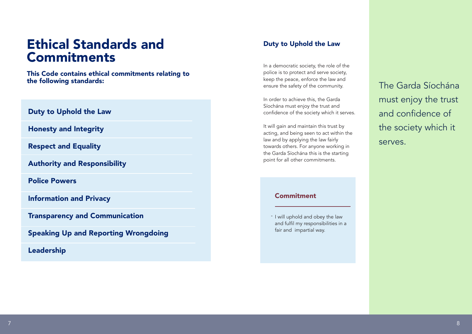# Ethical Standards and Commitments

This Code contains ethical commitments relating to the following standards:

#### Duty to Uphold the Law

Honesty and Integrity

Respect and Equality

Authority and Responsibility

Police Powers

Information and Privacy

Transparency and Communication

Speaking Up and Reporting Wrongdoing

Leadership

#### Duty to Uphold the Law

In a democratic society, the role of the police is to protect and serve society, keep the peace, enforce the law and ensure the safety of the community.

In order to achieve this, the Garda Síochána must enjoy the trust and confidence of the society which it serves.

It will gain and maintain this trust by acting, and being seen to act within the law and by applying the law fairly towards others. For anyone working in the Garda Síochána this is the starting point for all other commitments.

#### **Commitment**

- I will uphold and obey the law and fulfil my responsibilities in a fair and impartial way.

The Garda Síochána must enjoy the trust and confidence of the society which it serves.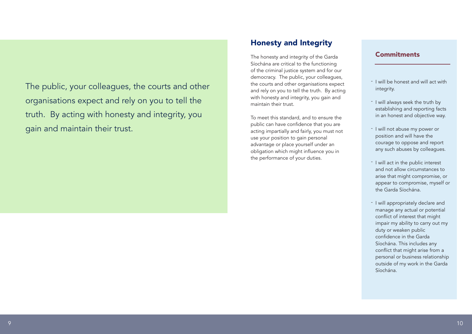The public, your colleagues, the courts and other organisations expect and rely on you to tell the truth. By acting with honesty and integrity, you gain and maintain their trust.

### Honesty and Integrity

The honesty and integrity of the Garda Síochána are critical to the functioning of the criminal justice system and for our democracy. The public, your colleagues, the courts and other organisations expect and rely on you to tell the truth. By acting with honesty and integrity, you gain and maintain their trust.

To meet this standard, and to ensure the public can have confidence that you are acting impartially and fairly, you must not use your position to gain personal advantage or place yourself under an obligation which might influence you in the performance of your duties.

#### Commitments

- I will be honest and will act with integrity.
- I will always seek the truth by establishing and reporting facts in an honest and objective way.
- I will not abuse my power or position and will have the courage to oppose and report any such abuses by colleagues.
- I will act in the public interest and not allow circumstances to arise that might compromise, or appear to compromise, myself or the Garda Síochána.
- I will appropriately declare and manage any actual or potential conflict of interest that might impair my ability to carry out my duty or weaken public confidence in the Garda Síochána. This includes any conflict that might arise from a personal or business relationship outside of my work in the Garda Síochána.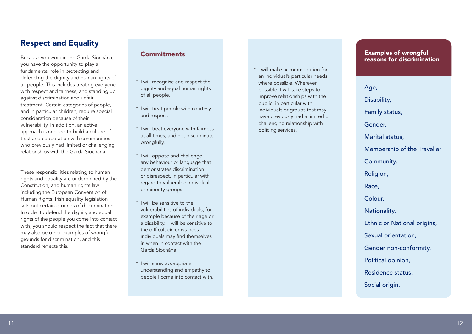#### Respect and Equality

Because you work in the Garda Síochána, you have the opportunity to play a fundamental role in protecting and defending the dignity and human rights of all people. This includes treating everyone with respect and fairness, and standing up against discrimination and unfair treatment. Certain categories of people, and in particular children, require special consideration because of their vulnerability. In addition, an active approach is needed to build a culture of trust and cooperation with communities who previously had limited or challenging relationships with the Garda Síochána.

These responsibilities relating to human rights and equality are underpinned by the Constitution, and human rights law including the European Convention of Human Rights. Irish equality legislation sets out certain grounds of discrimination. In order to defend the dignity and equal rights of the people you come into contact with, you should respect the fact that there may also be other examples of wrongful grounds for discrimination, and this standard reflects this.

#### Commitments

- <sup>-</sup> I will recognise and respect the dignity and equal human rights of all people.
- <sup>-</sup> I will treat people with courtesy and respect.
- <sup>-</sup> I will treat everyone with fairness at all times, and not discriminate wrongfully.
- I will oppose and challenge any behaviour or language that demonstrates discrimination or disrespect, in particular with regard to vulnerable individuals or minority groups.
- <sup>-</sup> I will be sensitive to the vulnerabilities of individuals, for example because of their age or a disability. I will be sensitive to the difficult circumstances individuals may find themselves in when in contact with the Garda Síochána. ------
- I will show appropriate understanding and empathy to people I come into contact with.

I will make accommodation for an individual's particular needs where possible. Wherever possible, I will take steps to improve relationships with the public, in particular with individuals or groups that may have previously had a limited or challenging relationship with policing services.

#### Examples of wrongful reasons for discrimination

 $\frac{5}{2}$  conducting the repeating formula and the space of example and the space of example and the space of example and the space of example and the space of example and the space of example and the space of example and Age, Disability, Family status, Gender, Marital status, Membership of the Traveller Community, Religion, Race, Colour, Nationality, Ethnic or National origins, Sexual orientation, Gender non-conformity, Political opinion, Residence status, Social origin.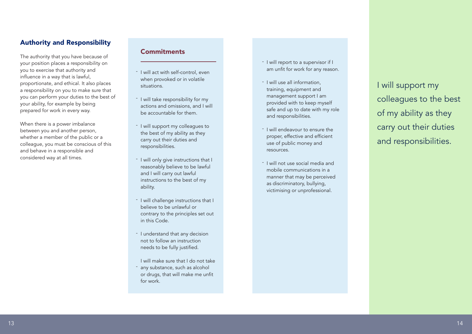#### Authority and Responsibility

The authority that you have because of your position places a responsibility on you to exercise that authority and influence in a way that is lawful, proportionate, and ethical. It also places a responsibility on you to make sure that you can perform your duties to the best of your ability, for example by being prepared for work in every way.

When there is a power imbalance between you and another person, whether a member of the public or a colleague, you must be conscious of this and behave in a responsible and considered way at all times.

#### **Commitments**

- I will act with self-control, even when provoked or in volatile situations.
- I will take responsibility for my actions and omissions, and I will be accountable for them.
- I will support my colleagues to the best of my ability as they carry out their duties and responsibilities.
- I will only give instructions that I reasonably believe to be lawful and I will carry out lawful instructions to the best of my ability.
- I will challenge instructions that I believe to be unlawful or contrary to the principles set out in this Code.
- I understand that any decision not to follow an instruction needs to be fully justified.
- I will make sure that I do not take any substance, such as alcohol or drugs, that will make me unfit for work. -
- I will report to a supervisor if I am unfit for work for any reason.
- I will use all information, training, equipment and management support I am provided with to keep myself safe and up to date with my role and responsibilities.
- I will endeavour to ensure the proper, effective and efficient use of public money and resources.
- I will not use social media and mobile communications in a manner that may be perceived as discriminatory, bullying, victimising or unprofessional.

I will support my colleagues to the best of my ability as they carry out their duties and responsibilities.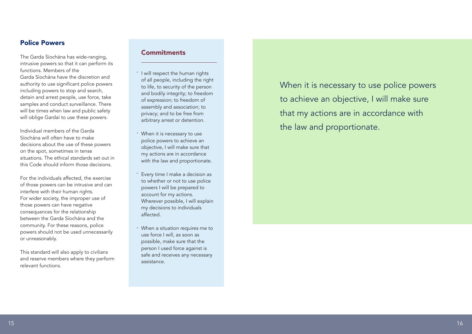#### Police Powers

The Garda Síochána has wide-ranging, intrusive powers so that it can perform its functions. Members of the Garda Síochána have the discretion and authority to use significant police powers including powers to stop and search, detain and arrest people, use force, take samples and conduct surveillance. There will be times when law and public safety will oblige Gardaí to use these powers.

Individual members of the Garda Síochána will often have to make decisions about the use of these powers on the spot, sometimes in tense situations. The ethical standards set out in this Code should inform those decisions.

For the individuals affected, the exercise of those powers can be intrusive and can interfere with their human rights. For wider society, the improper use of those powers can have negative consequences for the relationship between the Garda Síochána and the community. For these reasons, police powers should not be used unnecessarily or unreasonably.

This standard will also apply to civilians and reserve members where they perform relevant functions.

#### **Commitments**

- <sup>-</sup> I will respect the human rights of all people, including the right to life, to security of the person and bodily integrity; to freedom of expression; to freedom of assembly and association; to privacy; and to be free from arbitrary arrest or detention.
- When it is necessary to use police powers to achieve an objective, I will make sure that my actions are in accordance with the law and proportionate.
- Every time I make a decision as to whether or not to use police powers I will be prepared to account for my actions. Wherever possible, I will explain my decisions to individuals affected.
- When a situation requires me to use force I will, as soon as possible, make sure that the person I used force against is safe and receives any necessary assistance.

When it is necessary to use police powers to achieve an objective, I will make sure that my actions are in accordance with the law and proportionate. the disk dependent of the state of the state of the state of the state of the state of the state of the state of the state of the state of the state of the state of the state of the state of the state of the state of the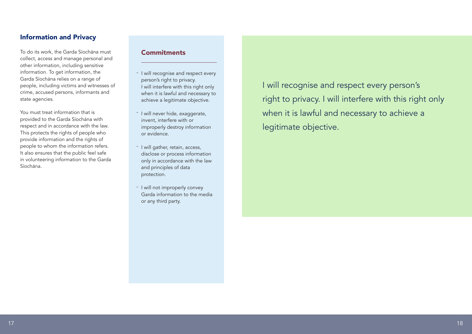#### Information and Privacy

To do its work, the Garda Síochána must collect, access and manage personal and other information, including sensitive information. To get information, the Garda Síochána relies on a range of people, including victims and witnesses of crime, accused persons, informants and state agencies.

You must treat information that is provided to the Garda Síochána with respect and in accordance with the law. This protects the rights of people who provide information and the rights of people to whom the information refers. It also ensures that the public feel safe in volunteering information to the Garda Síochána.

#### **Commitments**

- I will recognise and respect every person's right to privacy. I will interfere with this right only when it is lawful and necessary to achieve a legitimate objective.
- I will never hide, exaggerate, invent, interfere with or improperly destroy information or evidence.
- I will gather, retain, access, disclose or process information only in accordance with the law and principles of data protection.
- I will not improperly convey Garda information to the media or any third party.

I will recognise and respect every person's right to privacy. I will interfere with this right only when it is lawful and necessary to achieve a legitimate objective.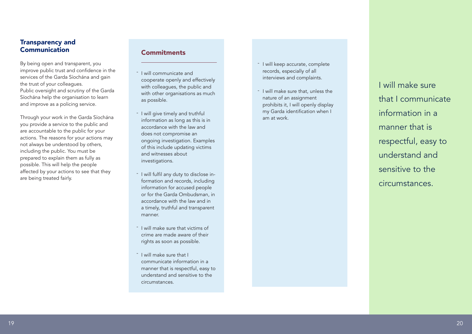#### Transparency and Communication

By being open and transparent, you improve public trust and confidence in the services of the Garda Síochána and gain the trust of your colleagues. Public oversight and scrutiny of the Garda Síochána help the organisation to learn and improve as a policing service.

Through your work in the Garda Síochána you provide a service to the public and are accountable to the public for your actions. The reasons for your actions may not always be understood by others, including the public. You must be prepared to explain them as fully as possible. This will help the people affected by your actions to see that they are being treated fairly.

#### **Commitments**

- I will communicate and cooperate openly and effectively with colleagues, the public and with other organisations as much as possible.
- I will give timely and truthful information as long as this is in accordance with the law and does not compromise an ongoing investigation. Examples of this include updating victims and witnesses about investigations.
- I will fulfil any duty to disclose information and records, including information for accused people or for the Garda Ombudsman, in accordance with the law and in a timely, truthful and transparent manner.
- I will make sure that victims of crime are made aware of their rights as soon as possible.
- I will make sure that I communicate information in a manner that is respectful, easy to understand and sensitive to the circumstances. -
- I will keep accurate, complete records, especially of all interviews and complaints.
- I will make sure that, unless the nature of an assignment prohibits it, I will openly display my Garda identification when I am at work.

I will make sure that I communicate information in a manner that is respectful, easy to understand and sensitive to the circumstances.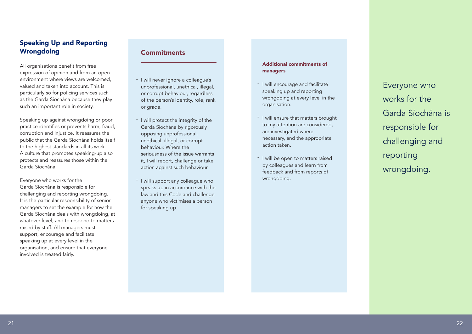#### Speaking Up and Reporting **Wrongdoing**

All organisations benefit from free expression of opinion and from an open environment where views are welcomed valued and taken into account. This is particularly so for policing services such as the Garda Síochána because they play such an important role in society.

Speaking up against wrongdoing or poor practice identifies or prevents harm, fraud, corruption and injustice. It reassures the public that the Garda Síochána holds itself to the highest standards in all its work. A culture that promotes speaking-up also protects and reassures those within the Garda Síochána.

Everyone who works for the Garda Síochána is responsible for challenging and reporting wrongdoing. It is the particular responsibility of senior managers to set the example for how the Garda Síochána deals with wrongdoing, at whatever level, and to respond to matters raised by staff. All managers must support, encourage and facilitate speaking up at every level in the organisation, and ensure that everyone involved is treated fairly.

#### **Commitments**

- I will never ignore a colleague's unprofessional, unethical, illegal, or corrupt behaviour, regardless of the person's identity, role, rank or grade.
- I will protect the integrity of the Garda Síochána by rigorously opposing unprofessional, unethical, illegal, or corrupt behaviour. Where the seriousness of the issue warrants it, I will report, challenge or take action against such behaviour.
- I will support any colleague who speaks up in accordance with the law and this Code and challenge anyone who victimises a person for speaking up.

#### Additional commitments of managers

- I will encourage and facilitate speaking up and reporting wrongdoing at every level in the organisation.
- I will ensure that matters brought to my attention are considered, are investigated where necessary, and the appropriate action taken.
- <sup>-</sup> I will be open to matters raised by colleagues and learn from feedback and from reports of wrongdoing.

Everyone who works for the Garda Síochána is responsible for challenging and reporting wrongdoing.